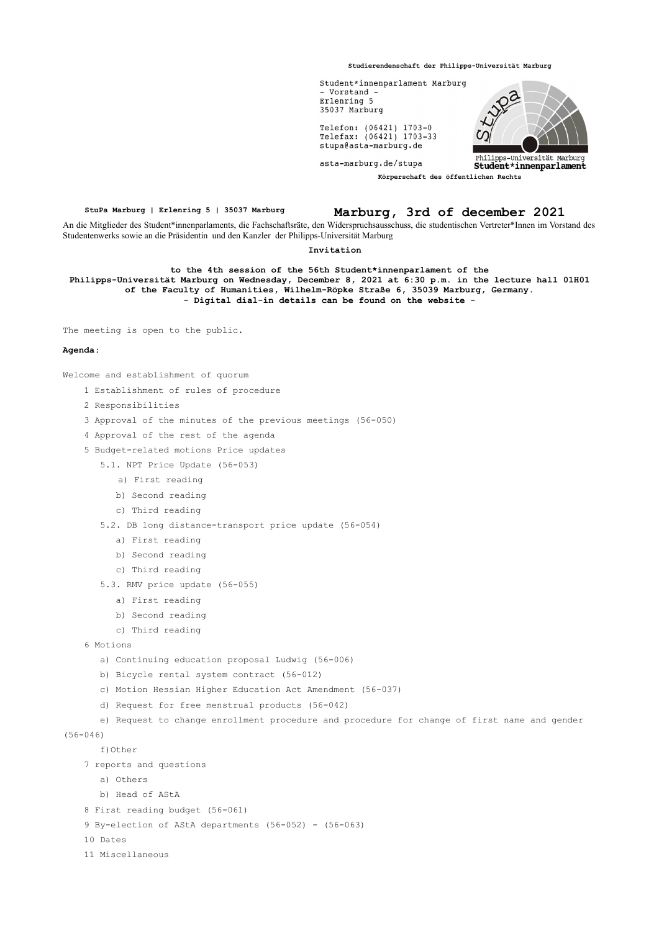**Studierendenschaft der Philipps-Universität Marburg**



**StuPa Marburg | Erlenring 5 | 35037 Marburg Marburg, 3rd of december 2021**

An die Mitglieder des Student\*innenparlaments, die Fachschaftsräte, den Widerspruchsausschuss, die studentischen Vertreter\*Innen im Vorstand des Studentenwerks sowie an die Präsidentin und den Kanzler der Philipps-Universität Marburg

## **Invitation**

**to the 4th session of the 56th Student\*innenparlament of the Philipps-Universität Marburg on Wednesday, December 8, 2021 at 6:30 p.m. in the lecture hall 01H01 of the Faculty of Humanities, Wilhelm-Röpke Straße 6, 35039 Marburg, Germany. - Digital dial-in details can be found on the website -**

The meeting is open to the public.

## **Agenda:**

Welcome and establishment of quorum

- 1 Establishment of rules of procedure
- 2 Responsibilities
- 3 Approval of the minutes of the previous meetings (56-050)
- 4 Approval of the rest of the agenda
- 5 Budget-related motions Price updates
	- 5.1. NPT Price Update (56-053)
		- a) First reading
		- b) Second reading
		- c) Third reading
	- 5.2. DB long distance-transport price update (56-054)
		- a) First reading
		- b) Second reading
		- c) Third reading
	- 5.3. RMV price update (56-055)
		- a) First reading
		- b) Second reading
		- c) Third reading
- 6 Motions
	- a) Continuing education proposal Ludwig (56-006)
	- b) Bicycle rental system contract (56-012)
	- c) Motion Hessian Higher Education Act Amendment (56-037)
	- d) Request for free menstrual products (56-042)
- e) Request to change enrollment procedure and procedure for change of first name and gender
- (56-046)
	- f)Other
	- 7 reports and questions
		- a) Others
		- b) Head of AStA
	- 8 First reading budget (56-061)
	- 9 By-election of AStA departments (56-052) (56-063)
	- 10 Dates
	- 11 Miscellaneous